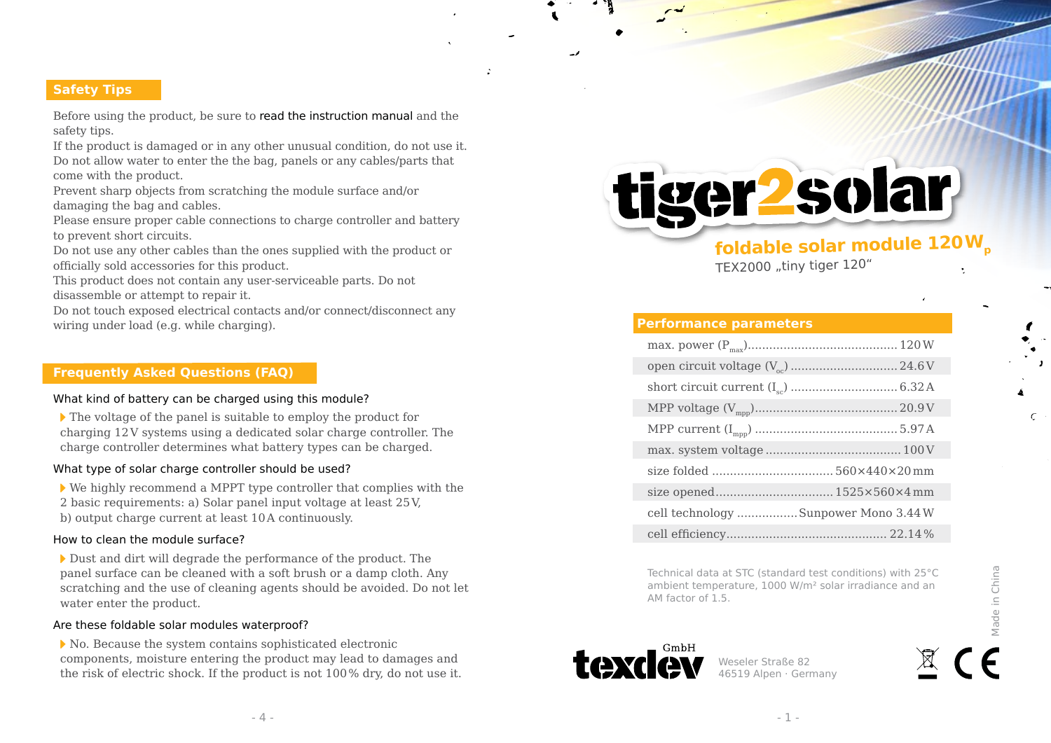# **Safety Tips**

Before using the product, be sure to read the instruction manual and the safety tips.

If the product is damaged or in any other unusual condition, do not use it. Do not allow water to enter the the bag, panels or any cables/parts that come with the product.

Prevent sharp objects from scratching the module surface and/or damaging the bag and cables.

Please ensure proper cable connections to charge controller and battery to prevent short circuits.

Do not use any other cables than the ones supplied with the product or officially sold accessories for this product.

This product does not contain any user-serviceable parts. Do not disassemble or attempt to repair it.

Do not touch exposed electrical contacts and/or connect/disconnect any wiring under load (e.g. while charging).

## **Frequently Asked Questions (FAQ)**

#### What kind of battery can be charged using this module?

 $\blacktriangleright$  The voltage of the panel is suitable to employ the product for charging 12V systems using a dedicated solar charge controller. The charge controller determines what battery types can be charged.

#### What type of solar charge controller should be used?

 We highly recommend a MPPT type controller that complies with the 2 basic requirements: a) Solar panel input voltage at least 25V, b) output charge current at least 10A continuously.

#### How to clean the module surface?

Dust and dirt will degrade the performance of the product. The panel surface can be cleaned with a soft brush or a damp cloth. Any scratching and the use of cleaning agents should be avoided. Do not let water enter the product.

#### Are these foldable solar modules waterproof?

 No. Because the system contains sophisticated electronic components, moisture entering the product may lead to damages and the risk of electric shock. If the product is not 100% dry, do not use it. tiger2solar

# **foldable solar module 120W<sup>p</sup>**

TEX2000 "tiny tiger 120"

## **Performance parameters**

| cell technology  Sunpower Mono 3.44 W |  |
|---------------------------------------|--|
|                                       |  |

Technical data at STC (standard test conditions) with 25°C ambient temperature, 1000 W/m² solar irradiance and an AM factor of 1.5.



Weseler Straße 82 46519 Alpen · Germany